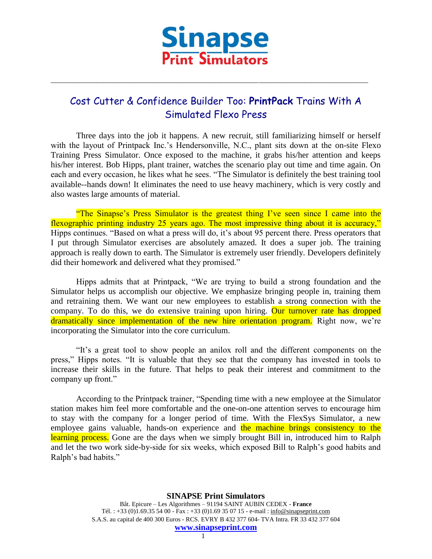

## Cost Cutter & Confidence Builder Too: **PrintPack** Trains With A Simulated Flexo Press

\_\_\_\_\_\_\_\_\_\_\_\_\_\_\_\_\_\_\_\_\_\_\_\_\_\_\_\_\_\_\_\_\_\_\_\_\_\_\_\_\_\_\_\_\_\_\_\_\_\_\_\_\_\_\_\_\_\_\_\_\_\_\_\_\_\_\_\_\_\_\_\_\_\_\_\_\_\_\_\_\_\_\_\_\_\_\_\_\_\_

Three days into the job it happens. A new recruit, still familiarizing himself or herself with the layout of Printpack Inc.'s Hendersonville, N.C., plant sits down at the on-site Flexo Training Press Simulator. Once exposed to the machine, it grabs his/her attention and keeps his/her interest. Bob Hipps, plant trainer, watches the scenario play out time and time again. On each and every occasion, he likes what he sees. "The Simulator is definitely the best training tool available--hands down! It eliminates the need to use heavy machinery, which is very costly and also wastes large amounts of material.

"The Sinapse's Press Simulator is the greatest thing I've seen since I came into the flexographic printing industry 25 years ago. The most impressive thing about it is accuracy," Hipps continues. "Based on what a press will do, it's about 95 percent there. Press operators that I put through Simulator exercises are absolutely amazed. It does a super job. The training approach is really down to earth. The Simulator is extremely user friendly. Developers definitely did their homework and delivered what they promised."

Hipps admits that at Printpack, "We are trying to build a strong foundation and the Simulator helps us accomplish our objective. We emphasize bringing people in, training them and retraining them. We want our new employees to establish a strong connection with the company. To do this, we do extensive training upon hiring. Our turnover rate has dropped dramatically since implementation of the new hire orientation program. Right now, we're incorporating the Simulator into the core curriculum.

"It's a great tool to show people an anilox roll and the different components on the press," Hipps notes. "It is valuable that they see that the company has invested in tools to increase their skills in the future. That helps to peak their interest and commitment to the company up front."

According to the Printpack trainer, "Spending time with a new employee at the Simulator station makes him feel more comfortable and the one-on-one attention serves to encourage him to stay with the company for a longer period of time. With the FlexSys Simulator, a new employee gains valuable, hands-on experience and the machine brings consistency to the learning process. Gone are the days when we simply brought Bill in, introduced him to Ralph and let the two work side-by-side for six weeks, which exposed Bill to Ralph's good habits and Ralph's bad habits."